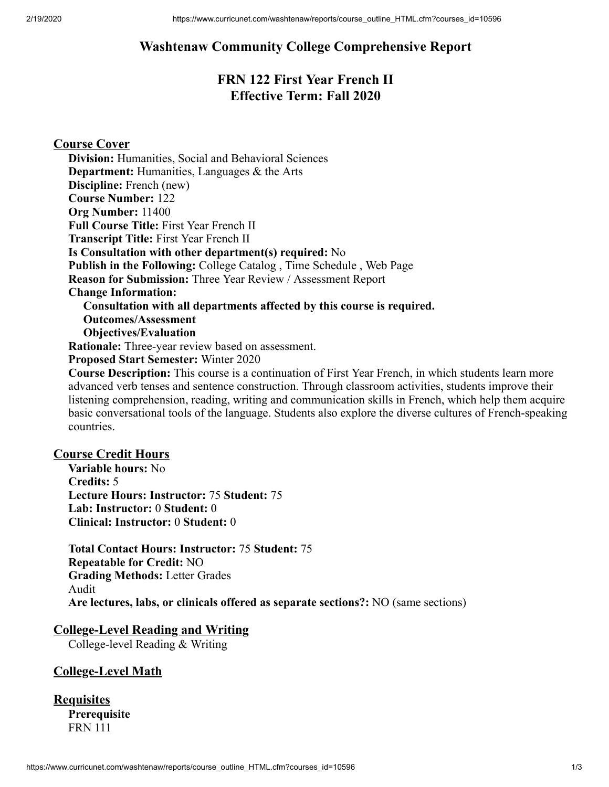# **Washtenaw Community College Comprehensive Report**

# **FRN 122 First Year French II Effective Term: Fall 2020**

# **Course Cover**

**Division:** Humanities, Social and Behavioral Sciences **Department:** Humanities, Languages & the Arts **Discipline:** French (new) **Course Number:** 122 **Org Number:** 11400 **Full Course Title:** First Year French II **Transcript Title:** First Year French II **Is Consultation with other department(s) required:** No **Publish in the Following:** College Catalog , Time Schedule , Web Page **Reason for Submission:** Three Year Review / Assessment Report **Change Information: Consultation with all departments affected by this course is required. Outcomes/Assessment Objectives/Evaluation Rationale:** Three-year review based on assessment. **Proposed Start Semester:** Winter 2020 **Course Description:** This course is a continuation of First Year French, in which students learn more

advanced verb tenses and sentence construction. Through classroom activities, students improve their listening comprehension, reading, writing and communication skills in French, which help them acquire basic conversational tools of the language. Students also explore the diverse cultures of French-speaking countries.

### **Course Credit Hours**

**Variable hours:** No **Credits:** 5 **Lecture Hours: Instructor:** 75 **Student:** 75 **Lab: Instructor:** 0 **Student:** 0 **Clinical: Instructor:** 0 **Student:** 0

**Total Contact Hours: Instructor:** 75 **Student:** 75 **Repeatable for Credit:** NO **Grading Methods:** Letter Grades Audit **Are lectures, labs, or clinicals offered as separate sections?:** NO (same sections)

### **College-Level Reading and Writing**

College-level Reading & Writing

### **College-Level Math**

| <b>Requisites</b>   |
|---------------------|
| <b>Prerequisite</b> |
| <b>FRN</b> 111      |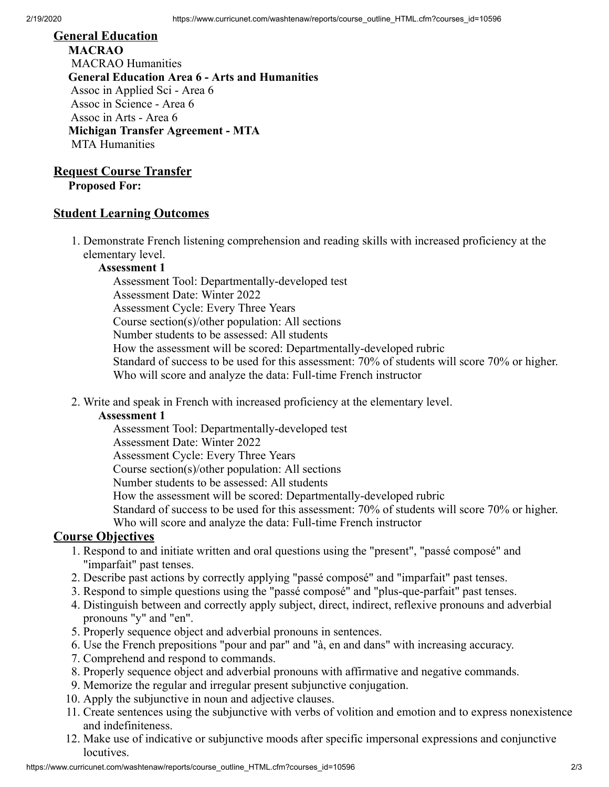# **General Education MACRAO** MACRAO Humanities

**General Education Area 6 - Arts and Humanities** Assoc in Applied Sci - Area 6 Assoc in Science - Area 6 Assoc in Arts - Area 6 **Michigan Transfer Agreement - MTA** MTA Humanities

# **Request Course Transfer**

**Proposed For:**

### **Student Learning Outcomes**

1. Demonstrate French listening comprehension and reading skills with increased proficiency at the elementary level.

### **Assessment 1**

Assessment Tool: Departmentally-developed test Assessment Date: Winter 2022 Assessment Cycle: Every Three Years Course section(s)/other population: All sections Number students to be assessed: All students How the assessment will be scored: Departmentally-developed rubric Standard of success to be used for this assessment: 70% of students will score 70% or higher. Who will score and analyze the data: Full-time French instructor

2. Write and speak in French with increased proficiency at the elementary level.

### **Assessment 1**

Assessment Tool: Departmentally-developed test Assessment Date: Winter 2022 Assessment Cycle: Every Three Years Course section(s)/other population: All sections Number students to be assessed: All students How the assessment will be scored: Departmentally-developed rubric Standard of success to be used for this assessment: 70% of students will score 70% or higher. Who will score and analyze the data: Full-time French instructor

### **Course Objectives**

- 1. Respond to and initiate written and oral questions using the "present", "passé composé" and "imparfait" past tenses.
- 2. Describe past actions by correctly applying "passé composé" and "imparfait" past tenses.
- 3. Respond to simple questions using the "passé composé" and "plus-que-parfait" past tenses.
- 4. Distinguish between and correctly apply subject, direct, indirect, reflexive pronouns and adverbial pronouns "y" and "en".
- 5. Properly sequence object and adverbial pronouns in sentences.
- 6. Use the French prepositions "pour and par" and "à, en and dans" with increasing accuracy.
- 7. Comprehend and respond to commands.
- 8. Properly sequence object and adverbial pronouns with affirmative and negative commands.
- 9. Memorize the regular and irregular present subjunctive conjugation.
- 10. Apply the subjunctive in noun and adjective clauses.
- 11. Create sentences using the subjunctive with verbs of volition and emotion and to express nonexistence and indefiniteness.
- 12. Make use of indicative or subjunctive moods after specific impersonal expressions and conjunctive locutives.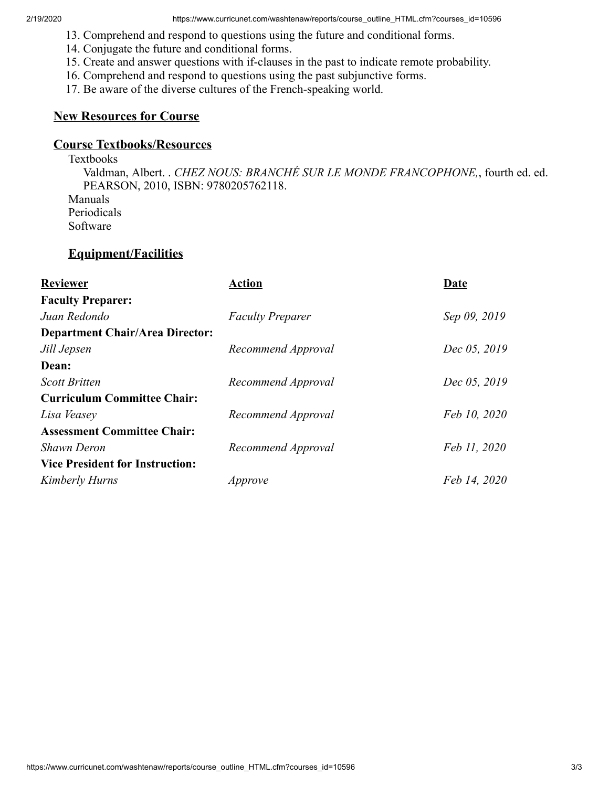- 13. Comprehend and respond to questions using the future and conditional forms.
- 14. Conjugate the future and conditional forms.
- 15. Create and answer questions with if-clauses in the past to indicate remote probability.
- 16. Comprehend and respond to questions using the past subjunctive forms.
- 17. Be aware of the diverse cultures of the French-speaking world.

### **New Resources for Course**

## **Course Textbooks/Resources**

Textbooks

Valdman, Albert. . *CHEZ NOUS: BRANCHÉ SUR LE MONDE FRANCOPHONE,*, fourth ed. ed. PEARSON, 2010, ISBN: 9780205762118. Manuals Periodicals Software

### **Equipment/Facilities**

| <b>Reviewer</b>                        | Action                  | Date         |
|----------------------------------------|-------------------------|--------------|
| <b>Faculty Preparer:</b>               |                         |              |
| Juan Redondo                           | <b>Faculty Preparer</b> | Sep 09, 2019 |
| <b>Department Chair/Area Director:</b> |                         |              |
| Jill Jepsen                            | Recommend Approval      | Dec 05, 2019 |
| Dean:                                  |                         |              |
| <b>Scott Britten</b>                   | Recommend Approval      | Dec 05, 2019 |
| <b>Curriculum Committee Chair:</b>     |                         |              |
| Lisa Veasey                            | Recommend Approval      | Feb 10, 2020 |
| <b>Assessment Committee Chair:</b>     |                         |              |
| <b>Shawn Deron</b>                     | Recommend Approval      | Feb 11, 2020 |
| <b>Vice President for Instruction:</b> |                         |              |
| Kimberly Hurns                         | Approve                 | Feb 14, 2020 |
|                                        |                         |              |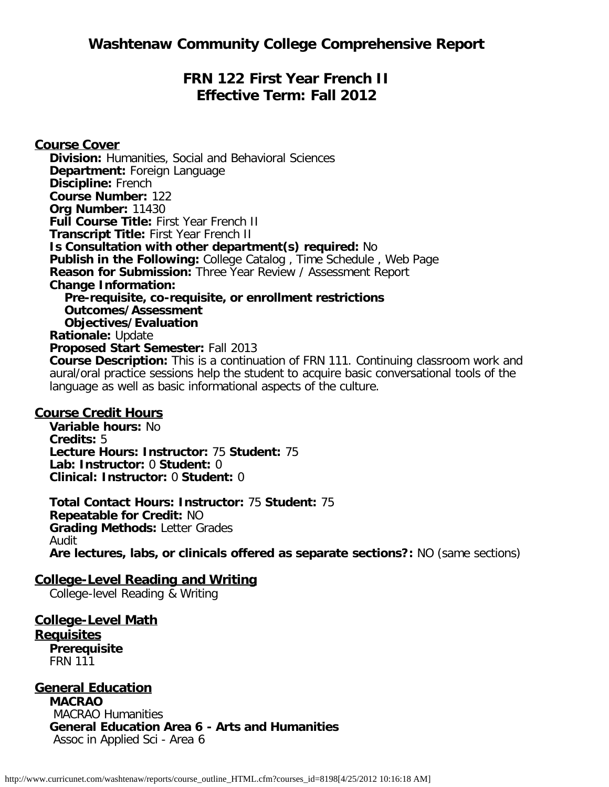# **FRN 122 First Year French II Effective Term: Fall 2012**

**Course Cover Division:** Humanities, Social and Behavioral Sciences **Department:** Foreign Language **Discipline:** French **Course Number:** 122 **Org Number:** 11430 **Full Course Title:** First Year French II **Transcript Title:** First Year French II **Is Consultation with other department(s) required:** No **Publish in the Following:** College Catalog , Time Schedule , Web Page **Reason for Submission:** Three Year Review / Assessment Report **Change Information: Pre-requisite, co-requisite, or enrollment restrictions Outcomes/Assessment Objectives/Evaluation Rationale:** Update **Proposed Start Semester:** Fall 2013 **Course Description:** This is a continuation of FRN 111. Continuing classroom work and aural/oral practice sessions help the student to acquire basic conversational tools of the language as well as basic informational aspects of the culture.

# **Course Credit Hours**

**Variable hours:** No **Credits:** 5 **Lecture Hours: Instructor:** 75 **Student:** 75 **Lab: Instructor:** 0 **Student:** 0 **Clinical: Instructor:** 0 **Student:** 0

**Total Contact Hours: Instructor:** 75 **Student:** 75 **Repeatable for Credit:** NO **Grading Methods:** Letter Grades Audit **Are lectures, labs, or clinicals offered as separate sections?:** NO (same sections)

# **College-Level Reading and Writing**

College-level Reading & Writing

**College-Level Math Requisites Prerequisite** FRN 111

# **General Education**

**MACRAO** MACRAO Humanities **General Education Area 6 - Arts and Humanities** Assoc in Applied Sci - Area 6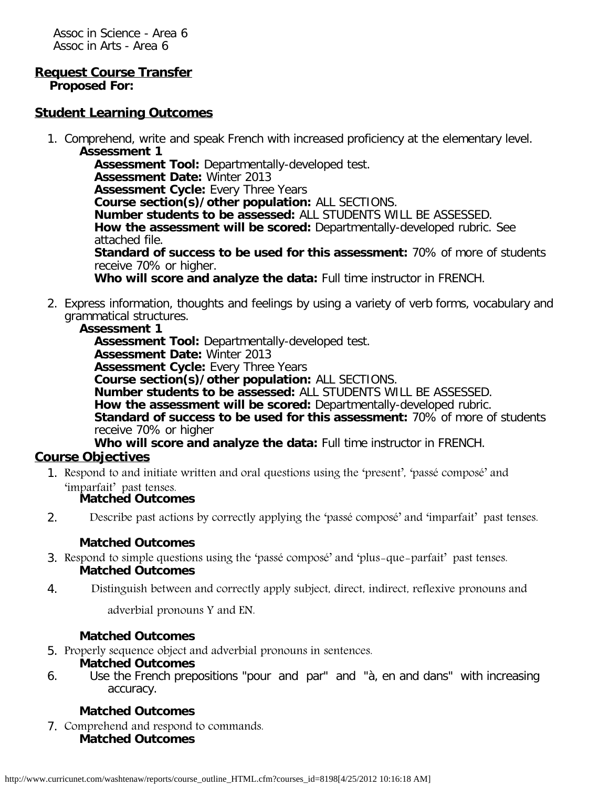Assoc in Science - Area 6 Assoc in Arts - Area 6

# **Request Course Transfer**

**Proposed For:**

## **Student Learning Outcomes**

1. Comprehend, write and speak French with increased proficiency at the elementary level. **Assessment 1**

**Assessment Tool:** Departmentally-developed test. **Assessment Date:** Winter 2013 **Assessment Cycle:** Every Three Years **Course section(s)/other population:** ALL SECTIONS. **Number students to be assessed:** ALL STUDENTS WILL BE ASSESSED. **How the assessment will be scored:** Departmentally-developed rubric. See attached file. **Standard of success to be used for this assessment:** 70% of more of students receive 70% or higher.

**Who will score and analyze the data:** Full time instructor in FRENCH.

2. Express information, thoughts and feelings by using a variety of verb forms, vocabulary and grammatical structures.

### **Assessment 1**

**Assessment Tool:** Departmentally-developed test. **Assessment Date:** Winter 2013 **Assessment Cycle:** Every Three Years **Course section(s)/other population:** ALL SECTIONS. **Number students to be assessed:** ALL STUDENTS WILL BE ASSESSED. **How the assessment will be scored:** Departmentally-developed rubric. **Standard of success to be used for this assessment:** 70% of more of students receive 70% or higher

# **Who will score and analyze the data:** Full time instructor in FRENCH.

### **Course Objectives**

1. Respond to and initiate written and oral questions using the 'present', 'passé composé' and 'imparfait' past tenses.

### **Matched Outcomes**

2. Describe past actions by correctly applying the 'passé composé' and 'imparfait' past tenses.

### **Matched Outcomes**

- 3. Respond to simple questions using the 'passé composé' and 'plus-que-parfait' past tenses. **Matched Outcomes**
- 4. Distinguish between and correctly apply subject, direct, indirect, reflexive pronouns and

adverbial pronouns Y and EN.

### **Matched Outcomes**

5. Properly sequence object and adverbial pronouns in sentences.

### **Matched Outcomes**

6. Use the French prepositions "pour and par" and "à, en and dans" with increasing accuracy.

### **Matched Outcomes**

7. Comprehend and respond to commands. **Matched Outcomes**